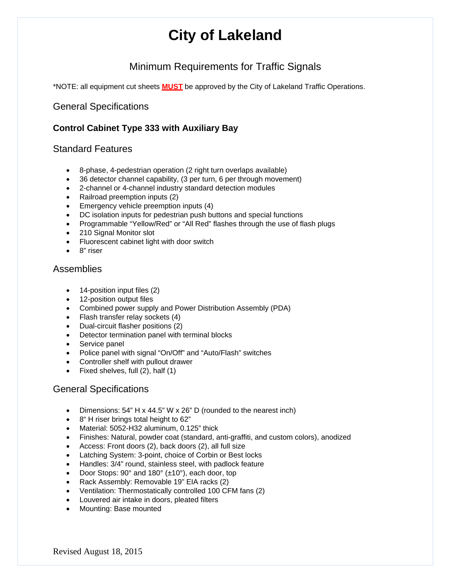## Minimum Requirements for Traffic Signals

\*NOTE: all equipment cut sheets **MUST** be approved by the City of Lakeland Traffic Operations.

## General Specifications

## **Control Cabinet Type 333 with Auxiliary Bay**

## Standard Features

- 8-phase, 4-pedestrian operation (2 right turn overlaps available)
- 36 detector channel capability, (3 per turn, 6 per through movement)
- 2-channel or 4-channel industry standard detection modules
- Railroad preemption inputs (2)
- **Emergency vehicle preemption inputs (4)**
- DC isolation inputs for pedestrian push buttons and special functions
- Programmable "Yellow/Red" or "All Red" flashes through the use of flash plugs
- 210 Signal Monitor slot
- Fluorescent cabinet light with door switch
- 8" riser

## **Assemblies**

- 14-position input files (2)
- 12-position output files
- Combined power supply and Power Distribution Assembly (PDA)
- Flash transfer relay sockets (4)
- Dual-circuit flasher positions (2)
- Detector termination panel with terminal blocks
- Service panel
- Police panel with signal "On/Off" and "Auto/Flash" switches
- Controller shelf with pullout drawer
- Fixed shelves, full (2), half (1)

## General Specifications

- Dimensions: 54" H x 44.5" W x 26" D (rounded to the nearest inch)
- 8" H riser brings total height to 62"
- Material: 5052-H32 aluminum, 0.125" thick
- Finishes: Natural, powder coat (standard, anti-graffiti, and custom colors), anodized
- Access: Front doors (2), back doors (2), all full size
- Latching System: 3-point, choice of Corbin or Best locks
- Handles: 3/4" round, stainless steel, with padlock feature
- Door Stops: 90° and 180° (±10°), each door, top
- Rack Assembly: Removable 19" EIA racks (2)
- Ventilation: Thermostatically controlled 100 CFM fans (2)
- Louvered air intake in doors, pleated filters
- Mounting: Base mounted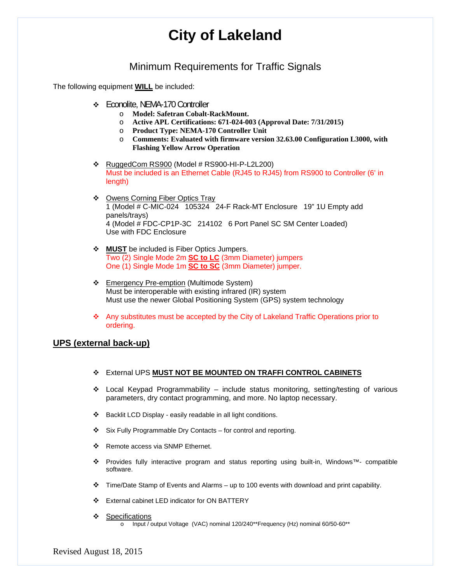## Minimum Requirements for Traffic Signals

The following equipment **WILL** be included:

- Econolite, NEMA-170 Controller
	- o **Model: Safetran Cobalt-RackMount.**
	- o **Active APL Certifications: 671-024-003 (Approval Date: 7/31/2015)**
	- o **Product Type: NEMA-170 Controller Unit**
	- o **Comments: Evaluated with firmware version 32.63.00 Configuration L3000, with Flashing Yellow Arrow Operation**
- $\cdot \cdot$  RuggedCom RS900 (Model # RS900-HI-P-L2L200) Must be included is an Ethernet Cable (RJ45 to RJ45) from RS900 to Controller (6' in length)
- ◆ Owens Corning Fiber Optics Tray 1 (Model # C-MIC-024 105324 24-F Rack-MT Enclosure 19" 1U Empty add panels/trays) 4 (Model # FDC-CP1P-3C 214102 6 Port Panel SC SM Center Loaded) Use with FDC Enclosure
- **MUST** be included is Fiber Optics Jumpers. Two (2) Single Mode 2m **SC to LC** (3mm Diameter) jumpers One (1) Single Mode 1m **SC to SC** (3mm Diameter) jumper.
- \* Emergency Pre-emption (Multimode System) Must be interoperable with existing infrared (IR) system Must use the newer Global Positioning System (GPS) system technology
- Any substitutes must be accepted by the City of Lakeland Traffic Operations prior to ordering.

## **UPS (external back-up)**

- External UPS **MUST NOT BE MOUNTED ON TRAFFI CONTROL CABINETS**
- $\div$  Local Keypad Programmability include status monitoring, setting/testing of various parameters, dry contact programming, and more. No laptop necessary.
- Backlit LCD Display easily readable in all light conditions.
- $\div$  Six Fully Programmable Dry Contacts for control and reporting.
- ❖ Remote access via SNMP Ethernet.
- Provides fully interactive program and status reporting using built-in, Windows™- compatible software.
- Time/Date Stamp of Events and Alarms up to 100 events with download and print capability.
- External cabinet LED indicator for ON BATTERY
- ❖ Specifications
	- o Input / output Voltage (VAC) nominal 120/240\*\*Frequency (Hz) nominal 60/50-60\*\*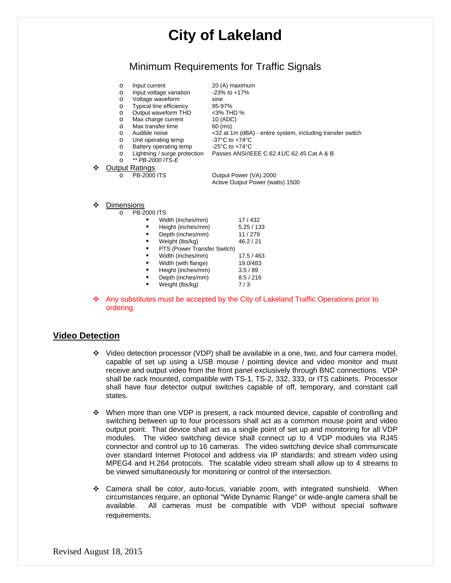## Minimum Requirements for Traffic Signals

|   | $\circ$<br>$\circ$<br>$\circ$ | Input current<br>Input voltage variation<br>Voltage waveform | 20 (A) maximum<br>$-23\%$ to $+17\%$<br>sine                             |
|---|-------------------------------|--------------------------------------------------------------|--------------------------------------------------------------------------|
|   | $\circ$                       | Typical line efficiency                                      | 95-97%                                                                   |
|   | $\circ$                       | Output waveform THD                                          | <3% THD %                                                                |
|   | $\Omega$                      | Max charge current                                           | 10 (ADC)                                                                 |
|   | $\Omega$                      | Max transfer time                                            | $60$ (ms)                                                                |
|   | $\circ$                       | Audible noise                                                | <32 at 1m (dBA) - entire system, including transfer switch               |
|   | $\circ$                       | Unit operating temp                                          | $-37^{\circ}$ C to $+74^{\circ}$ C                                       |
|   | $\Omega$                      | Battery operating temp                                       | -25°C to $+74$ °C                                                        |
|   | $\circ$                       |                                                              | Lightning / surge protection  Passes ANSI/IEEE C.62.41/C.62.45 Cat A & B |
|   | $\Omega$                      | ** PB-2000 ITS-E                                             |                                                                          |
| ❖ |                               | <b>Output Ratings</b>                                        |                                                                          |
|   | $\Omega$                      | <b>PB-2000 ITS</b>                                           | Output Power (VA) 2000                                                   |
|   |                               |                                                              | Active Output Power (watts) 1500                                         |
|   |                               |                                                              |                                                                          |
|   |                               |                                                              |                                                                          |
| ❖ | Dimensions                    |                                                              |                                                                          |
|   | $\circ$                       | <b>PB-2000 ITS</b>                                           |                                                                          |
|   |                               | Width (inches/mm)                                            | 17/432                                                                   |

| Width (inches/mm)           | 17/432    |
|-----------------------------|-----------|
| Height (inches/mm)          | 5.25/133  |
| Depth (inches/mm)           | 11/279    |
| Weight (lbs/kg)             | 46.2 / 21 |
| PTS (Power Transfer Switch) |           |
| Width (inches/mm)           | 17.5/463  |
| Width (with flange)         | 19.0/483  |
| Height (inches/mm)          | 3.5/89    |
| Depth (inches/mm)           | 8.5 / 216 |
| Weight (lbs/kg)             | 7/3       |

 Any substitutes must be accepted by the City of Lakeland Traffic Operations prior to ordering.

## **Video Detection**

- $\cdot \cdot$  Video detection processor (VDP) shall be available in a one, two, and four camera model, capable of set up using a USB mouse / pointing device and video monitor and must receive and output video from the front panel exclusively through BNC connections. VDP shall be rack mounted, compatible with TS-1, TS-2, 332, 333, or ITS cabinets. Processor shall have four detector output switches capable of off, temporary, and constant call states.
- When more than one VDP is present, a rack mounted device, capable of controlling and switching between up to four processors shall act as a common mouse point and video output point. That device shall act as a single point of set up and monitoring for all VDP modules. The video switching device shall connect up to 4 VDP modules via RJ45 connector and control up to 16 cameras. The video switching device shall communicate over standard Internet Protocol and address via IP standards; and stream video using MPEG4 and H.264 protocols. The scalable video stream shall allow up to 4 streams to be viewed simultaneously for monitoring or control of the intersection.
- Camera shall be color, auto-focus, variable zoom, with integrated sunshield. When circumstances require, an optional "Wide Dynamic Range" or wide-angle camera shall be available. All cameras must be compatible with VDP without special software requirements.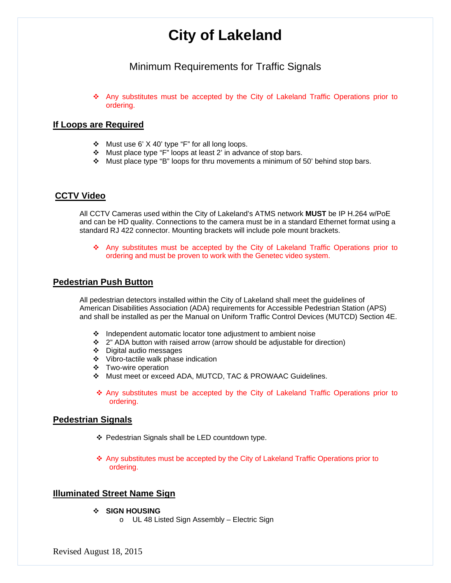## Minimum Requirements for Traffic Signals

 Any substitutes must be accepted by the City of Lakeland Traffic Operations prior to ordering.

## **If Loops are Required**

- \* Must use 6' X 40' type "F" for all long loops.
- Must place type "F" loops at least 2' in advance of stop bars.
- Must place type "B" loops for thru movements a minimum of 50' behind stop bars.

### **CCTV Video**

All CCTV Cameras used within the City of Lakeland's ATMS network **MUST** be IP H.264 w/PoE and can be HD quality. Connections to the camera must be in a standard Ethernet format using a standard RJ 422 connector. Mounting brackets will include pole mount brackets.

 Any substitutes must be accepted by the City of Lakeland Traffic Operations prior to ordering and must be proven to work with the Genetec video system.

## **Pedestrian Push Button**

All pedestrian detectors installed within the City of Lakeland shall meet the guidelines of American Disabilities Association (ADA) requirements for Accessible Pedestrian Station (APS) and shall be installed as per the Manual on Uniform Traffic Control Devices (MUTCD) Section 4E.

- $\cdot$  Independent automatic locator tone adjustment to ambient noise
- $\div$  2" ADA button with raised arrow (arrow should be adjustable for direction)
- Digital audio messages
- Vibro-tactile walk phase indication
- Two-wire operation
- Must meet or exceed ADA, MUTCD, TAC & PROWAAC Guidelines.
- Any substitutes must be accepted by the City of Lakeland Traffic Operations prior to ordering.

#### **Pedestrian Signals**

- Pedestrian Signals shall be LED countdown type.
- Any substitutes must be accepted by the City of Lakeland Traffic Operations prior to ordering.

#### **Illuminated Street Name Sign**

- **SIGN HOUSING** 
	- o UL 48 Listed Sign Assembly Electric Sign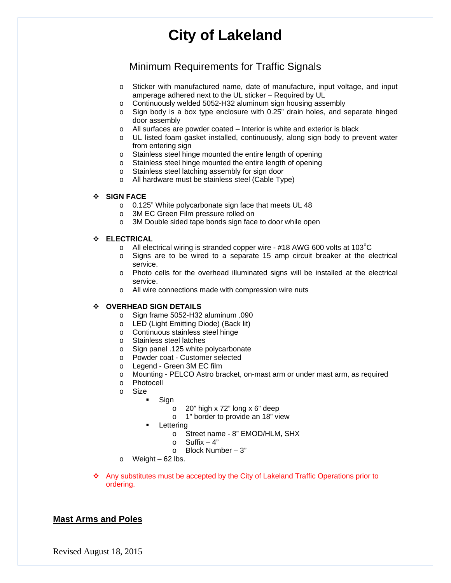## Minimum Requirements for Traffic Signals

- o Sticker with manufactured name, date of manufacture, input voltage, and input amperage adhered next to the UL sticker – Required by UL
- o Continuously welded 5052-H32 aluminum sign housing assembly
- o Sign body is a box type enclosure with 0.25" drain holes, and separate hinged door assembly
- o All surfaces are powder coated Interior is white and exterior is black
- o UL listed foam gasket installed, continuously, along sign body to prevent water from entering sign
- o Stainless steel hinge mounted the entire length of opening
- o Stainless steel hinge mounted the entire length of opening
- o Stainless steel latching assembly for sign door
- o All hardware must be stainless steel (Cable Type)

#### **SIGN FACE**

- o 0.125" White polycarbonate sign face that meets UL 48
- o 3M EC Green Film pressure rolled on
- o 3M Double sided tape bonds sign face to door while open

#### **ELECTRICAL**

- $\circ$  All electrical wiring is stranded copper wire #18 AWG 600 volts at 103 $^{\circ}$ C
- o Signs are to be wired to a separate 15 amp circuit breaker at the electrical service.
- o Photo cells for the overhead illuminated signs will be installed at the electrical service.
- o All wire connections made with compression wire nuts

#### **OVERHEAD SIGN DETAILS**

- o Sign frame 5052-H32 aluminum .090
- o LED (Light Emitting Diode) (Back lit)
- o Continuous stainless steel hinge
- o Stainless steel latches
- o Sign panel .125 white polycarbonate
- o Powder coat Customer selected
- o Legend Green 3M EC film
- o Mounting PELCO Astro bracket, on-mast arm or under mast arm, as required
- o Photocell
- o Size
	- Sign
		- o 20" high x 72" long x 6" deep
		- o 1" border to provide an 18" view
	- **Lettering** 
		- o Street name 8" EMOD/HLM, SHX
		- $\circ$  Suffix 4"
		- o Block Number 3"
- $\circ$  Weight 62 lbs.
- Any substitutes must be accepted by the City of Lakeland Traffic Operations prior to ordering.

## **Mast Arms and Poles**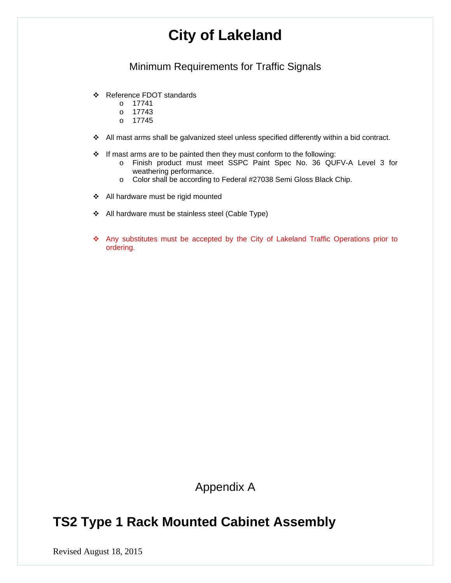## Minimum Requirements for Traffic Signals

- Reference FDOT standards
	- o 17741
	- o 17743
	- o 17745
- All mast arms shall be galvanized steel unless specified differently within a bid contract.
- If mast arms are to be painted then they must conform to the following:
	- o Finish product must meet SSPC Paint Spec No. 36 QUFV-A Level 3 for weathering performance.
	- o Color shall be according to Federal #27038 Semi Gloss Black Chip.
- All hardware must be rigid mounted
- All hardware must be stainless steel (Cable Type)
- Any substitutes must be accepted by the City of Lakeland Traffic Operations prior to ordering.

Appendix A

## **TS2 Type 1 Rack Mounted Cabinet Assembly**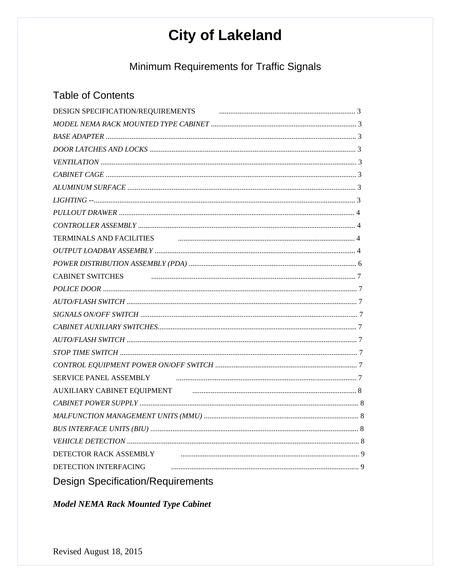Minimum Requirements for Traffic Signals

## **Table of Contents**

| DESIGN SPECIFICATION/REQUIREMENTS                                                                                       |  |
|-------------------------------------------------------------------------------------------------------------------------|--|
|                                                                                                                         |  |
|                                                                                                                         |  |
|                                                                                                                         |  |
|                                                                                                                         |  |
|                                                                                                                         |  |
|                                                                                                                         |  |
| $LIGHTING - 3$                                                                                                          |  |
|                                                                                                                         |  |
|                                                                                                                         |  |
| TERMINALS AND FACILITIES <b>CONSERVERS CONSERVERS CONSERVERS CONSERVERS CONSERVERS CONSERVERS CONSERVERS CONSERVERS</b> |  |
|                                                                                                                         |  |
|                                                                                                                         |  |
| CABINET SWITCHES FIGURE 27 AU ARREST SWITCHES                                                                           |  |
|                                                                                                                         |  |
|                                                                                                                         |  |
|                                                                                                                         |  |
|                                                                                                                         |  |
|                                                                                                                         |  |
|                                                                                                                         |  |
|                                                                                                                         |  |
| SERVICE PANEL ASSEMBLY FINDING CONTINUES. THE RESIDENCE PANEL ASSEMBLY                                                  |  |
| AUXILIARY CABINET EQUIPMENT <b>AUXILIARY</b> CABINET EQUIPMENT                                                          |  |
|                                                                                                                         |  |
|                                                                                                                         |  |
|                                                                                                                         |  |
|                                                                                                                         |  |
| DETECTOR RACK ASSEMBLY                                                                                                  |  |
| DETECTION INTERFACING                                                                                                   |  |
| <b>Design Specification/Requirements</b>                                                                                |  |

**Model NEMA Rack Mounted Type Cabinet**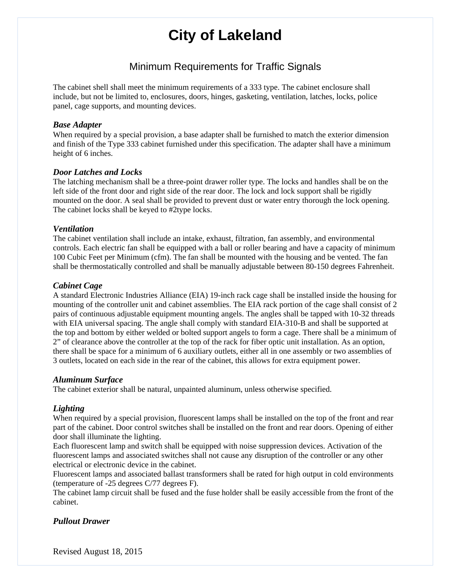## Minimum Requirements for Traffic Signals

The cabinet shell shall meet the minimum requirements of a 333 type. The cabinet enclosure shall include, but not be limited to, enclosures, doors, hinges, gasketing, ventilation, latches, locks, police panel, cage supports, and mounting devices.

### *Base Adapter*

When required by a special provision, a base adapter shall be furnished to match the exterior dimension and finish of the Type 333 cabinet furnished under this specification. The adapter shall have a minimum height of 6 inches.

## *Door Latches and Locks*

The latching mechanism shall be a three-point drawer roller type. The locks and handles shall be on the left side of the front door and right side of the rear door. The lock and lock support shall be rigidly mounted on the door. A seal shall be provided to prevent dust or water entry thorough the lock opening. The cabinet locks shall be keyed to #2type locks.

### *Ventilation*

The cabinet ventilation shall include an intake, exhaust, filtration, fan assembly, and environmental controls. Each electric fan shall be equipped with a ball or roller bearing and have a capacity of minimum 100 Cubic Feet per Minimum (cfm). The fan shall be mounted with the housing and be vented. The fan shall be thermostatically controlled and shall be manually adjustable between 80-150 degrees Fahrenheit.

## *Cabinet Cage*

A standard Electronic Industries Alliance (EIA) 19-inch rack cage shall be installed inside the housing for mounting of the controller unit and cabinet assemblies. The EIA rack portion of the cage shall consist of 2 pairs of continuous adjustable equipment mounting angels. The angles shall be tapped with 10-32 threads with EIA universal spacing. The angle shall comply with standard EIA-310-B and shall be supported at the top and bottom by either welded or bolted support angels to form a cage. There shall be a minimum of 2" of clearance above the controller at the top of the rack for fiber optic unit installation. As an option, there shall be space for a minimum of 6 auxiliary outlets, either all in one assembly or two assemblies of 3 outlets, located on each side in the rear of the cabinet, this allows for extra equipment power.

#### *Aluminum Surface*

The cabinet exterior shall be natural, unpainted aluminum, unless otherwise specified.

## *Lighting*

When required by a special provision, fluorescent lamps shall be installed on the top of the front and rear part of the cabinet. Door control switches shall be installed on the front and rear doors. Opening of either door shall illuminate the lighting.

Each fluorescent lamp and switch shall be equipped with noise suppression devices. Activation of the fluorescent lamps and associated switches shall not cause any disruption of the controller or any other electrical or electronic device in the cabinet.

Fluorescent lamps and associated ballast transformers shall be rated for high output in cold environments (temperature of -25 degrees C/77 degrees F).

The cabinet lamp circuit shall be fused and the fuse holder shall be easily accessible from the front of the cabinet.

## *Pullout Drawer*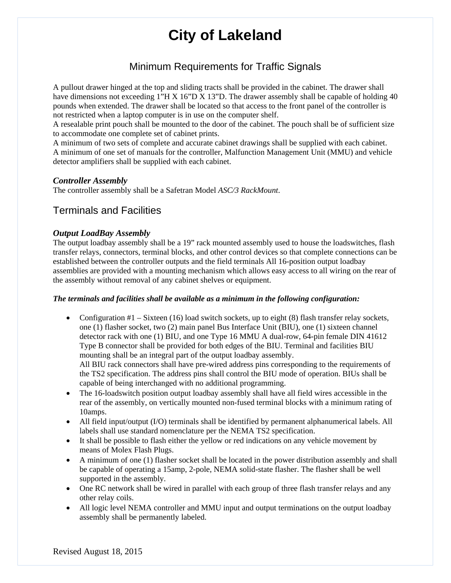## Minimum Requirements for Traffic Signals

A pullout drawer hinged at the top and sliding tracts shall be provided in the cabinet. The drawer shall have dimensions not exceeding 1"H X 16"D X 13"D. The drawer assembly shall be capable of holding 40 pounds when extended. The drawer shall be located so that access to the front panel of the controller is not restricted when a laptop computer is in use on the computer shelf.

A resealable print pouch shall be mounted to the door of the cabinet. The pouch shall be of sufficient size to accommodate one complete set of cabinet prints.

A minimum of two sets of complete and accurate cabinet drawings shall be supplied with each cabinet. A minimum of one set of manuals for the controller, Malfunction Management Unit (MMU) and vehicle detector amplifiers shall be supplied with each cabinet.

## *Controller Assembly*

The controller assembly shall be a Safetran Model *ASC/3 RackMount*.

## Terminals and Facilities

## *Output LoadBay Assembly*

The output loadbay assembly shall be a 19" rack mounted assembly used to house the loadswitches, flash transfer relays, connectors, terminal blocks, and other control devices so that complete connections can be established between the controller outputs and the field terminals All 16-position output loadbay assemblies are provided with a mounting mechanism which allows easy access to all wiring on the rear of the assembly without removal of any cabinet shelves or equipment.

#### *The terminals and facilities shall be available as a minimum in the following configuration:*

- Configuration  $#1 Sixteen$  (16) load switch sockets, up to eight (8) flash transfer relay sockets, one (1) flasher socket, two (2) main panel Bus Interface Unit (BIU), one (1) sixteen channel detector rack with one (1) BIU, and one Type 16 MMU A dual-row, 64-pin female DIN 41612 Type B connector shall be provided for both edges of the BIU. Terminal and facilities BIU mounting shall be an integral part of the output loadbay assembly. All BIU rack connectors shall have pre-wired address pins corresponding to the requirements of the TS2 specification. The address pins shall control the BIU mode of operation. BIUs shall be capable of being interchanged with no additional programming.
- The 16-loadswitch position output loadbay assembly shall have all field wires accessible in the rear of the assembly, on vertically mounted non-fused terminal blocks with a minimum rating of 10amps.
- All field input/output (I/O) terminals shall be identified by permanent alphanumerical labels. All labels shall use standard nomenclature per the NEMA TS2 specification.
- It shall be possible to flash either the yellow or red indications on any vehicle movement by means of Molex Flash Plugs.
- A minimum of one (1) flasher socket shall be located in the power distribution assembly and shall be capable of operating a 15amp, 2-pole, NEMA solid-state flasher. The flasher shall be well supported in the assembly.
- One RC network shall be wired in parallel with each group of three flash transfer relays and any other relay coils.
- All logic level NEMA controller and MMU input and output terminations on the output loadbay assembly shall be permanently labeled.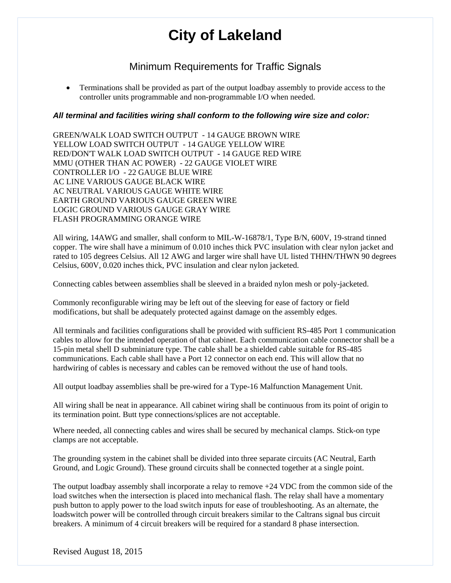## Minimum Requirements for Traffic Signals

 Terminations shall be provided as part of the output loadbay assembly to provide access to the controller units programmable and non-programmable I/O when needed.

### *All terminal and facilities wiring shall conform to the following wire size and color:*

GREEN/WALK LOAD SWITCH OUTPUT - 14 GAUGE BROWN WIRE YELLOW LOAD SWITCH OUTPUT - 14 GAUGE YELLOW WIRE RED/DON'T WALK LOAD SWITCH OUTPUT - 14 GAUGE RED WIRE MMU (OTHER THAN AC POWER) - 22 GAUGE VIOLET WIRE CONTROLLER I/O - 22 GAUGE BLUE WIRE AC LINE VARIOUS GAUGE BLACK WIRE AC NEUTRAL VARIOUS GAUGE WHITE WIRE EARTH GROUND VARIOUS GAUGE GREEN WIRE LOGIC GROUND VARIOUS GAUGE GRAY WIRE FLASH PROGRAMMING ORANGE WIRE

All wiring, 14AWG and smaller, shall conform to MIL-W-16878/1, Type B/N, 600V, 19-strand tinned copper. The wire shall have a minimum of 0.010 inches thick PVC insulation with clear nylon jacket and rated to 105 degrees Celsius. All 12 AWG and larger wire shall have UL listed THHN/THWN 90 degrees Celsius, 600V, 0.020 inches thick, PVC insulation and clear nylon jacketed.

Connecting cables between assemblies shall be sleeved in a braided nylon mesh or poly-jacketed.

Commonly reconfigurable wiring may be left out of the sleeving for ease of factory or field modifications, but shall be adequately protected against damage on the assembly edges.

All terminals and facilities configurations shall be provided with sufficient RS-485 Port 1 communication cables to allow for the intended operation of that cabinet. Each communication cable connector shall be a 15-pin metal shell D subminiature type. The cable shall be a shielded cable suitable for RS-485 communications. Each cable shall have a Port 12 connector on each end. This will allow that no hardwiring of cables is necessary and cables can be removed without the use of hand tools.

All output loadbay assemblies shall be pre-wired for a Type-16 Malfunction Management Unit.

All wiring shall be neat in appearance. All cabinet wiring shall be continuous from its point of origin to its termination point. Butt type connections/splices are not acceptable.

Where needed, all connecting cables and wires shall be secured by mechanical clamps. Stick-on type clamps are not acceptable.

The grounding system in the cabinet shall be divided into three separate circuits (AC Neutral, Earth Ground, and Logic Ground). These ground circuits shall be connected together at a single point.

The output loadbay assembly shall incorporate a relay to remove  $+24$  VDC from the common side of the load switches when the intersection is placed into mechanical flash. The relay shall have a momentary push button to apply power to the load switch inputs for ease of troubleshooting. As an alternate, the loadswitch power will be controlled through circuit breakers similar to the Caltrans signal bus circuit breakers. A minimum of 4 circuit breakers will be required for a standard 8 phase intersection.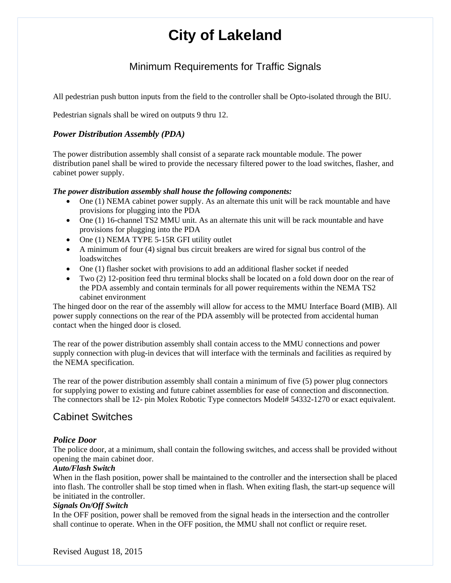## Minimum Requirements for Traffic Signals

All pedestrian push button inputs from the field to the controller shall be Opto-isolated through the BIU.

Pedestrian signals shall be wired on outputs 9 thru 12.

### *Power Distribution Assembly (PDA)*

The power distribution assembly shall consist of a separate rack mountable module. The power distribution panel shall be wired to provide the necessary filtered power to the load switches, flasher, and cabinet power supply.

#### *The power distribution assembly shall house the following components:*

- One (1) NEMA cabinet power supply. As an alternate this unit will be rack mountable and have provisions for plugging into the PDA
- One (1) 16-channel TS2 MMU unit. As an alternate this unit will be rack mountable and have provisions for plugging into the PDA
- One (1) NEMA TYPE 5-15R GFI utility outlet
- A minimum of four (4) signal bus circuit breakers are wired for signal bus control of the loadswitches
- One (1) flasher socket with provisions to add an additional flasher socket if needed
- Two (2) 12-position feed thru terminal blocks shall be located on a fold down door on the rear of the PDA assembly and contain terminals for all power requirements within the NEMA TS2 cabinet environment

The hinged door on the rear of the assembly will allow for access to the MMU Interface Board (MIB). All power supply connections on the rear of the PDA assembly will be protected from accidental human contact when the hinged door is closed.

The rear of the power distribution assembly shall contain access to the MMU connections and power supply connection with plug-in devices that will interface with the terminals and facilities as required by the NEMA specification.

The rear of the power distribution assembly shall contain a minimum of five (5) power plug connectors for supplying power to existing and future cabinet assemblies for ease of connection and disconnection. The connectors shall be 12- pin Molex Robotic Type connectors Model# 54332-1270 or exact equivalent.

## Cabinet Switches

## *Police Door*

The police door, at a minimum, shall contain the following switches, and access shall be provided without opening the main cabinet door.

#### *Auto/Flash Switch*

When in the flash position, power shall be maintained to the controller and the intersection shall be placed into flash. The controller shall be stop timed when in flash. When exiting flash, the start-up sequence will be initiated in the controller.

#### *Signals On/Off Switch*

In the OFF position, power shall be removed from the signal heads in the intersection and the controller shall continue to operate. When in the OFF position, the MMU shall not conflict or require reset.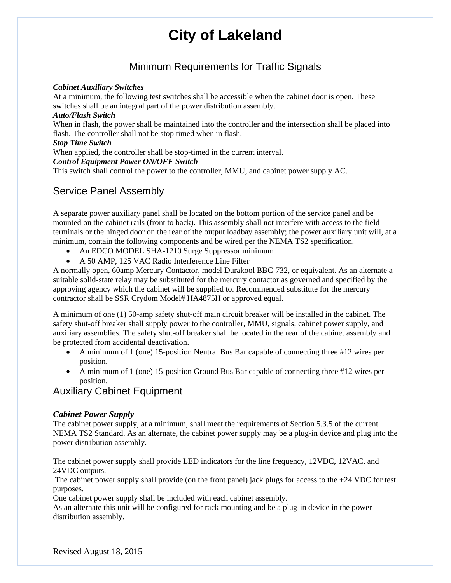## Minimum Requirements for Traffic Signals

### *Cabinet Auxiliary Switches*

At a minimum, the following test switches shall be accessible when the cabinet door is open. These switches shall be an integral part of the power distribution assembly.

#### *Auto/Flash Switch*

When in flash, the power shall be maintained into the controller and the intersection shall be placed into flash. The controller shall not be stop timed when in flash.

#### *Stop Time Switch*

When applied, the controller shall be stop-timed in the current interval.

### *Control Equipment Power ON/OFF Switch*

This switch shall control the power to the controller, MMU, and cabinet power supply AC.

## Service Panel Assembly

A separate power auxiliary panel shall be located on the bottom portion of the service panel and be mounted on the cabinet rails (front to back). This assembly shall not interfere with access to the field terminals or the hinged door on the rear of the output loadbay assembly; the power auxiliary unit will, at a minimum, contain the following components and be wired per the NEMA TS2 specification.

- An EDCO MODEL SHA-1210 Surge Suppressor minimum
- A 50 AMP, 125 VAC Radio Interference Line Filter

A normally open, 60amp Mercury Contactor, model Durakool BBC-732, or equivalent. As an alternate a suitable solid-state relay may be substituted for the mercury contactor as governed and specified by the approving agency which the cabinet will be supplied to. Recommended substitute for the mercury contractor shall be SSR Crydom Model# HA4875H or approved equal.

A minimum of one (1) 50-amp safety shut-off main circuit breaker will be installed in the cabinet. The safety shut-off breaker shall supply power to the controller, MMU, signals, cabinet power supply, and auxiliary assemblies. The safety shut-off breaker shall be located in the rear of the cabinet assembly and be protected from accidental deactivation.

- A minimum of 1 (one) 15-position Neutral Bus Bar capable of connecting three #12 wires per position.
- A minimum of 1 (one) 15-position Ground Bus Bar capable of connecting three #12 wires per position.

## Auxiliary Cabinet Equipment

## *Cabinet Power Supply*

The cabinet power supply, at a minimum, shall meet the requirements of Section 5.3.5 of the current NEMA TS2 Standard. As an alternate, the cabinet power supply may be a plug-in device and plug into the power distribution assembly.

The cabinet power supply shall provide LED indicators for the line frequency, 12VDC, 12VAC, and 24VDC outputs.

The cabinet power supply shall provide (on the front panel) jack plugs for access to the  $+24$  VDC for test purposes.

One cabinet power supply shall be included with each cabinet assembly.

As an alternate this unit will be configured for rack mounting and be a plug-in device in the power distribution assembly.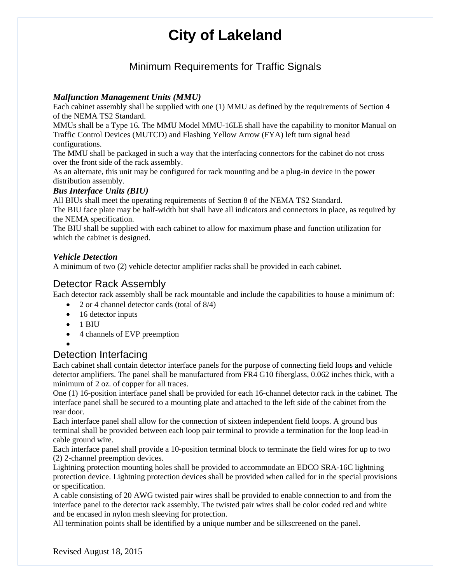## Minimum Requirements for Traffic Signals

## *Malfunction Management Units (MMU)*

Each cabinet assembly shall be supplied with one (1) MMU as defined by the requirements of Section 4 of the NEMA TS2 Standard.

MMUs shall be a Type 16. The MMU Model MMU-16LE shall have the capability to monitor Manual on Traffic Control Devices (MUTCD) and Flashing Yellow Arrow (FYA) left turn signal head configurations.

The MMU shall be packaged in such a way that the interfacing connectors for the cabinet do not cross over the front side of the rack assembly.

As an alternate, this unit may be configured for rack mounting and be a plug-in device in the power distribution assembly.

## *Bus Interface Units (BIU)*

All BIUs shall meet the operating requirements of Section 8 of the NEMA TS2 Standard.

The BIU face plate may be half-width but shall have all indicators and connectors in place, as required by the NEMA specification.

The BIU shall be supplied with each cabinet to allow for maximum phase and function utilization for which the cabinet is designed.

## *Vehicle Detection*

A minimum of two (2) vehicle detector amplifier racks shall be provided in each cabinet.

## Detector Rack Assembly

Each detector rack assembly shall be rack mountable and include the capabilities to house a minimum of:

- 2 or 4 channel detector cards (total of  $8/4$ )
- $\bullet$  16 detector inputs
- $\bullet$  1 BIU
- 4 channels of EVP preemption

#### $\bullet$

## Detection Interfacing

Each cabinet shall contain detector interface panels for the purpose of connecting field loops and vehicle detector amplifiers. The panel shall be manufactured from FR4 G10 fiberglass, 0.062 inches thick, with a minimum of 2 oz. of copper for all traces.

One (1) 16-position interface panel shall be provided for each 16-channel detector rack in the cabinet. The interface panel shall be secured to a mounting plate and attached to the left side of the cabinet from the rear door.

Each interface panel shall allow for the connection of sixteen independent field loops. A ground bus terminal shall be provided between each loop pair terminal to provide a termination for the loop lead-in cable ground wire.

Each interface panel shall provide a 10-position terminal block to terminate the field wires for up to two (2) 2-channel preemption devices.

Lightning protection mounting holes shall be provided to accommodate an EDCO SRA-16C lightning protection device. Lightning protection devices shall be provided when called for in the special provisions or specification.

A cable consisting of 20 AWG twisted pair wires shall be provided to enable connection to and from the interface panel to the detector rack assembly. The twisted pair wires shall be color coded red and white and be encased in nylon mesh sleeving for protection.

All termination points shall be identified by a unique number and be silkscreened on the panel.